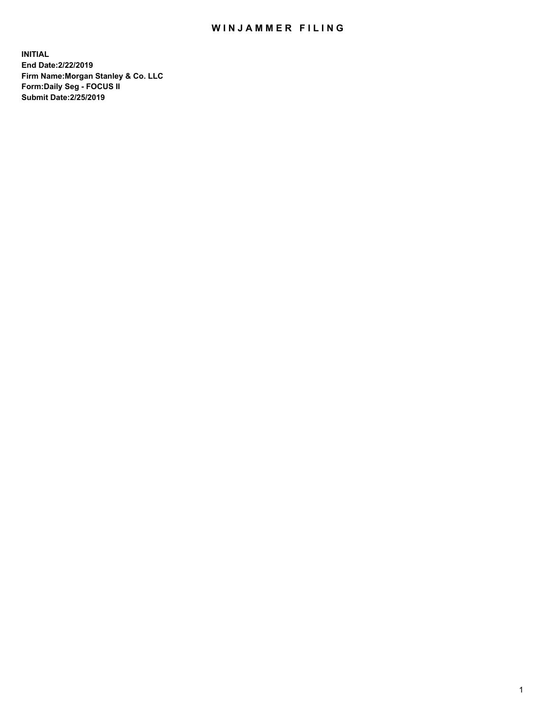## WIN JAMMER FILING

**INITIAL End Date:2/22/2019 Firm Name:Morgan Stanley & Co. LLC Form:Daily Seg - FOCUS II Submit Date:2/25/2019**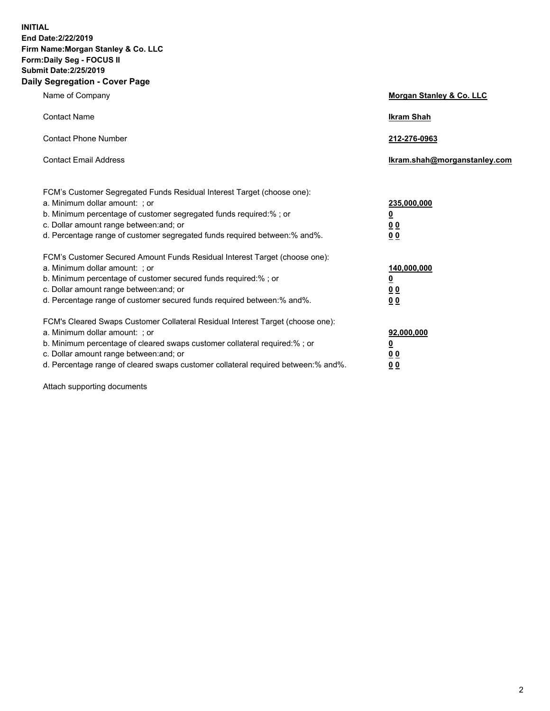**INITIAL End Date:2/22/2019 Firm Name:Morgan Stanley & Co. LLC Form:Daily Seg - FOCUS II Submit Date:2/25/2019 Daily Segregation - Cover Page**

| Name of Company                                                                   | Morgan Stanley & Co. LLC     |
|-----------------------------------------------------------------------------------|------------------------------|
| <b>Contact Name</b>                                                               | <b>Ikram Shah</b>            |
| <b>Contact Phone Number</b>                                                       | 212-276-0963                 |
| <b>Contact Email Address</b>                                                      | Ikram.shah@morganstanley.com |
| FCM's Customer Segregated Funds Residual Interest Target (choose one):            |                              |
| a. Minimum dollar amount: ; or                                                    | 235,000,000                  |
| b. Minimum percentage of customer segregated funds required:% ; or                | <u>0</u>                     |
| c. Dollar amount range between: and; or                                           | <u>0 0</u>                   |
| d. Percentage range of customer segregated funds required between: % and %.       | 00                           |
| FCM's Customer Secured Amount Funds Residual Interest Target (choose one):        |                              |
| a. Minimum dollar amount: ; or                                                    | 140,000,000                  |
| b. Minimum percentage of customer secured funds required:%; or                    | <u>0</u>                     |
| c. Dollar amount range between: and; or                                           | 0 <sub>0</sub>               |
| d. Percentage range of customer secured funds required between:% and%.            | 0 <sub>0</sub>               |
| FCM's Cleared Swaps Customer Collateral Residual Interest Target (choose one):    |                              |
| a. Minimum dollar amount: ; or                                                    | 92,000,000                   |
| b. Minimum percentage of cleared swaps customer collateral required:% ; or        | <u>0</u>                     |
| c. Dollar amount range between: and; or                                           | 0 Q                          |
| d. Percentage range of cleared swaps customer collateral required between:% and%. | 00                           |

Attach supporting documents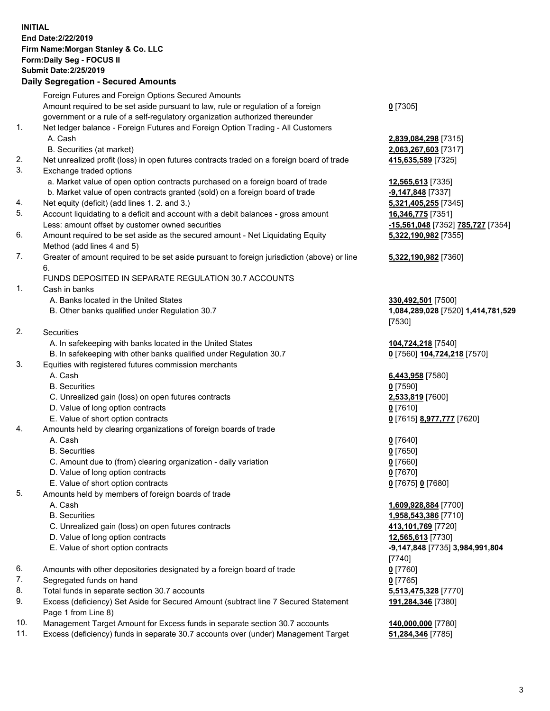## **INITIAL End Date:2/22/2019 Firm Name:Morgan Stanley & Co. LLC Form:Daily Seg - FOCUS II Submit Date:2/25/2019**

**Daily Segregation - Secured Amounts** Foreign Futures and Foreign Options Secured Amounts Amount required to be set aside pursuant to law, rule or regulation of a foreign government or a rule of a self-regulatory organization authorized thereunder 1. Net ledger balance - Foreign Futures and Foreign Option Trading - All Customers A. Cash **2,839,084,298** [7315] B. Securities (at market) **2,063,267,603** [7317] 2. Net unrealized profit (loss) in open futures contracts traded on a foreign board of trade **415,635,589** [7325] 3. Exchange traded options a. Market value of open option contracts purchased on a foreign board of trade **12,565,613** [7335] b. Market value of open contracts granted (sold) on a foreign board of trade **-9,147,848** [7337] 4. Net equity (deficit) (add lines 1. 2. and 3.) **5,321,405,255** [7345] 5. Account liquidating to a deficit and account with a debit balances - gross amount **16,346,775** [7351] Less: amount offset by customer owned securities **-15,561,048** [7352] **785,727** [7354] 6. Amount required to be set aside as the secured amount - Net Liquidating Equity Method (add lines 4 and 5) 7. Greater of amount required to be set aside pursuant to foreign jurisdiction (above) or line 6. FUNDS DEPOSITED IN SEPARATE REGULATION 30.7 ACCOUNTS 1. Cash in banks A. Banks located in the United States **330,492,501** [7500] B. Other banks qualified under Regulation 30.7 **1,084,289,028** [7520] **1,414,781,529** 2. Securities A. In safekeeping with banks located in the United States **104,724,218** [7540] B. In safekeeping with other banks qualified under Regulation 30.7 **0** [7560] **104,724,218** [7570] 3. Equities with registered futures commission merchants A. Cash **6,443,958** [7580] B. Securities **0** [7590] C. Unrealized gain (loss) on open futures contracts **2,533,819** [7600] D. Value of long option contracts **0** [7610] E. Value of short option contracts **0** [7615] **8,977,777** [7620] 4. Amounts held by clearing organizations of foreign boards of trade A. Cash **0** [7640] B. Securities **0** [7650] C. Amount due to (from) clearing organization - daily variation **0** [7660] D. Value of long option contracts **0** [7670] E. Value of short option contracts **0** [7675] **0** [7680] 5. Amounts held by members of foreign boards of trade A. Cash **1,609,928,884** [7700] B. Securities **1,958,543,386** [7710] C. Unrealized gain (loss) on open futures contracts **413,101,769** [7720]

- D. Value of long option contracts **12,565,613** [7730]
- E. Value of short option contracts **-9,147,848** [7735] **3,984,991,804**
- 6. Amounts with other depositories designated by a foreign board of trade **0** [7760]
- 7. Segregated funds on hand **0** [7765]
- 8. Total funds in separate section 30.7 accounts **5,513,475,328** [7770]
- 9. Excess (deficiency) Set Aside for Secured Amount (subtract line 7 Secured Statement Page 1 from Line 8)
- 10. Management Target Amount for Excess funds in separate section 30.7 accounts **140,000,000** [7780]
- 11. Excess (deficiency) funds in separate 30.7 accounts over (under) Management Target **51,284,346** [7785]

**0** [7305]

**5,322,190,982** [7355]

## **5,322,190,982** [7360]

[7530]

[7740] **191,284,346** [7380]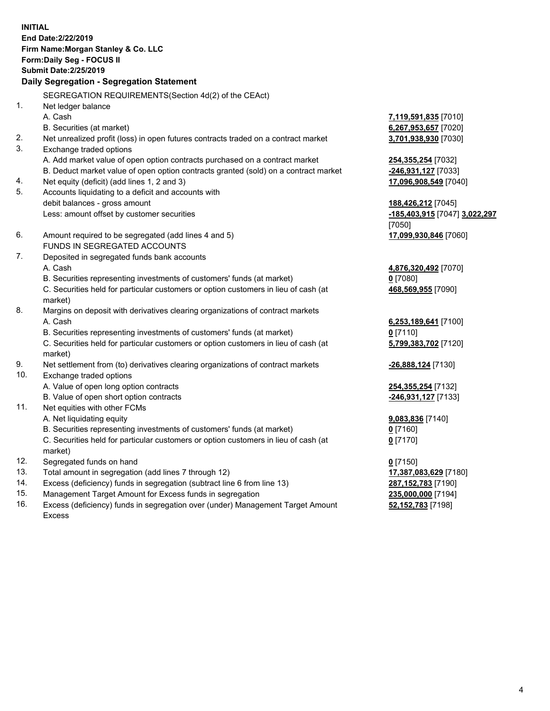**INITIAL End Date:2/22/2019 Firm Name:Morgan Stanley & Co. LLC Form:Daily Seg - FOCUS II Submit Date:2/25/2019 Daily Segregation - Segregation Statement** SEGREGATION REQUIREMENTS(Section 4d(2) of the CEAct) 1. Net ledger balance A. Cash **7,119,591,835** [7010] B. Securities (at market) **6,267,953,657** [7020] 2. Net unrealized profit (loss) in open futures contracts traded on a contract market **3,701,938,930** [7030] 3. Exchange traded options A. Add market value of open option contracts purchased on a contract market **254,355,254** [7032] B. Deduct market value of open option contracts granted (sold) on a contract market **-246,931,127** [7033] 4. Net equity (deficit) (add lines 1, 2 and 3) **17,096,908,549** [7040] 5. Accounts liquidating to a deficit and accounts with debit balances - gross amount **188,426,212** [7045] Less: amount offset by customer securities **-185,403,915** [7047] **3,022,297** [7050] 6. Amount required to be segregated (add lines 4 and 5) **17,099,930,846** [7060] FUNDS IN SEGREGATED ACCOUNTS 7. Deposited in segregated funds bank accounts A. Cash **4,876,320,492** [7070] B. Securities representing investments of customers' funds (at market) **0** [7080] C. Securities held for particular customers or option customers in lieu of cash (at market) **468,569,955** [7090] 8. Margins on deposit with derivatives clearing organizations of contract markets A. Cash **6,253,189,641** [7100] B. Securities representing investments of customers' funds (at market) **0** [7110] C. Securities held for particular customers or option customers in lieu of cash (at market) **5,799,383,702** [7120] 9. Net settlement from (to) derivatives clearing organizations of contract markets **-26,888,124** [7130] 10. Exchange traded options A. Value of open long option contracts **254,355,254** [7132] B. Value of open short option contracts **-246,931,127** [7133] 11. Net equities with other FCMs A. Net liquidating equity **9,083,836** [7140] B. Securities representing investments of customers' funds (at market) **0** [7160] C. Securities held for particular customers or option customers in lieu of cash (at market) **0** [7170] 12. Segregated funds on hand **0** [7150] 13. Total amount in segregation (add lines 7 through 12) **17,387,083,629** [7180] 14. Excess (deficiency) funds in segregation (subtract line 6 from line 13) **287,152,783** [7190]

- 15. Management Target Amount for Excess funds in segregation **235,000,000** [7194]
- 16. Excess (deficiency) funds in segregation over (under) Management Target Amount Excess

**52,152,783** [7198]